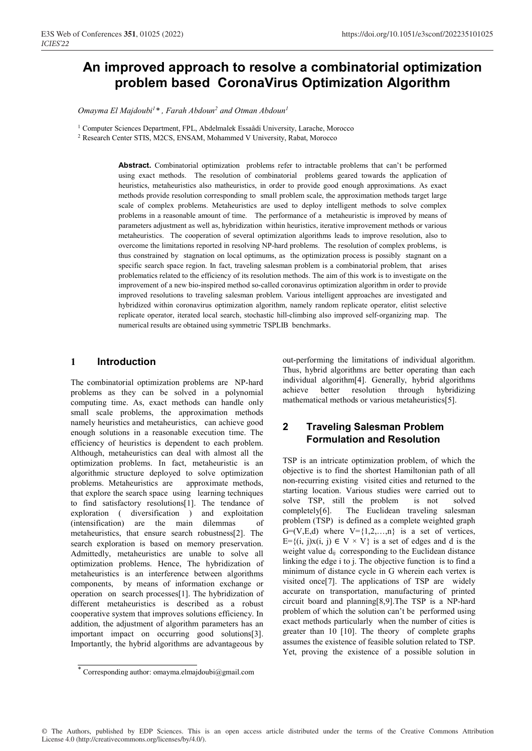# **An improved approach to resolve a combinatorial optimization problem based CoronaVirus Optimization Algorithm**

Omayma El Majdoubi<sup>1</sup>\*, Farah Abdoun<sup>2</sup> and Otman Abdoun<sup>1</sup>

<sup>1</sup> Computer Sciences Department, FPL, Abdelmalek Essaâdi University, Larache, Morocco

2 Research Center STIS, M2CS, ENSAM, Mohammed V University, Rabat, Morocco

**Abstract.** Combinatorial optimization problems refer to intractable problems that can't be performed using exact methods. The resolution of combinatorial problems geared towards the application of heuristics, metaheuristics also matheuristics, in order to provide good enough approximations. As exact methods provide resolution corresponding to small problem scale, the approximation methods target large scale of complex problems. Metaheuristics are used to deploy intelligent methods to solve complex problems in a reasonable amount of time. The performance of a metaheuristic is improved by means of parameters adjustment as well as, hybridization within heuristics, iterative improvement methods or various metaheuristics. The cooperation of several optimization algorithms leads to improve resolution, also to overcome the limitations reported in resolving NP-hard problems. The resolution of complex problems, is thus constrained by stagnation on local optimums, as the optimization process is possibly stagnant on a specific search space region. In fact, traveling salesman problem is a combinatorial problem, that arises problematics related to the efficiency of its resolution methods. The aim of this work is to investigate on the improvement of a new bio-inspired method so-called coronavirus optimization algorithm in order to provide improved resolutions to traveling salesman problem. Various intelligent approaches are investigated and hybridized within coronavirus optimization algorithm, namely random replicate operator, elitist selective replicate operator, iterated local search, stochastic hill-climbing also improved self-organizing map. The numerical results are obtained using symmetric TSPLIB benchmarks.

#### **1 Introduction**

The combinatorial optimization problems are NP-hard problems as they can be solved in a polynomial computing time. As, exact methods can handle only small scale problems, the approximation methods namely heuristics and metaheuristics, can achieve good enough solutions in a reasonable execution time. The efficiency of heuristics is dependent to each problem. Although, metaheuristics can deal with almost all the optimization problems. In fact, metaheuristic is an algorithmic structure deployed to solve optimization problems. Metaheuristics are approximate methods, that explore the search space using learning techniques to find satisfactory resolutions[1]. The tendance of exploration ( diversification ) and exploitation (intensification) are the main dilemmas of metaheuristics, that ensure search robustness[2]. The search exploration is based on memory preservation. Admittedly, metaheuristics are unable to solve all optimization problems. Hence, The hybridization of metaheuristics is an interference between algorithms components, by means of information exchange or operation on search processes[1]. The hybridization of different metaheuristics is described as a robust cooperative system that improves solutions efficiency. In addition, the adjustment of algorithm parameters has an important impact on occurring good solutions[3]. Importantly, the hybrid algorithms are advantageous by out-performing the limitations of individual algorithm. Thus, hybrid algorithms are better operating than each individual algorithm[4]. Generally, hybrid algorithms achieve better resolution through hybridizing mathematical methods or various metaheuristics[5].

## **2 Traveling Salesman Problem Formulation and Resolution**

TSP is an intricate optimization problem, of which the objective is to find the shortest Hamiltonian path of all non-recurring existing visited cities and returned to the starting location. Various studies were carried out to solve TSP, still the problem is not solved completely[6]. The Euclidean traveling salesman problem (TSP) is defined as a complete weighted graph  $G=(V,E,d)$  where  $V=\{1,2,...,n\}$  is a set of vertices, E= $\{(i, j)x(i, j) \in V \times V\}$  is a set of edges and d is the weight value d<sub>ij</sub> corresponding to the Euclidean distance linking the edge i to j. The objective function is to find a minimum of distance cycle in G wherein each vertex is visited once[7]. The applications of TSP are widely accurate on transportation, manufacturing of printed circuit board and planning[8,9].The TSP is a NP-hard problem of which the solution can't be performed using exact methods particularly when the number of cities is greater than 10 [10]. The theory of complete graphs assumes the existence of feasible solution related to TSP. Yet, proving the existence of a possible solution in

© The Authors, published by EDP Sciences. This is an open access article distributed under the terms of the Creative Commons Attribution License 4.0 (http://creativecommons.org/licenses/by/4.0/).

<sup>\*</sup> Corresponding author: omayma.elmajdoubi@gmail.com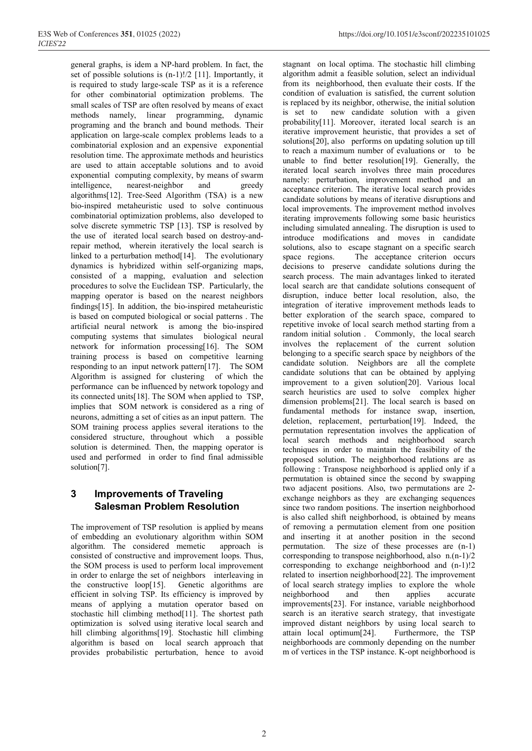general graphs, is idem a NP-hard problem. In fact, the set of possible solutions is (n-1)!/2 [11]. Importantly, it is required to study large-scale TSP as it is a reference for other combinatorial optimization problems. The small scales of TSP are often resolved by means of exact methods namely, linear programming, dynamic programing and the branch and bound methods. Their application on large-scale complex problems leads to a combinatorial explosion and an expensive exponential resolution time. The approximate methods and heuristics are used to attain acceptable solutions and to avoid exponential computing complexity, by means of swarm intelligence, nearest-neighbor and greedy algorithms[12]. Tree-Seed Algorithm (TSA) is a new bio-inspired metaheuristic used to solve continuous combinatorial optimization problems, also developed to solve discrete symmetric TSP [13]. TSP is resolved by the use of iterated local search based on destroy-andrepair method, wherein iteratively the local search is linked to a perturbation method<sup>[14]</sup>. The evolutionary dynamics is hybridized within self-organizing maps, consisted of a mapping, evaluation and selection procedures to solve the Euclidean TSP. Particularly, the mapping operator is based on the nearest neighbors findings[15]. In addition, the bio-inspired metaheuristic is based on computed biological or social patterns . The artificial neural network is among the bio-inspired computing systems that simulates biological neural network for information processing[16]. The SOM training process is based on competitive learning responding to an input network pattern[17]. The SOM Algorithm is assigned for clustering of which the performance can be influenced by network topology and its connected units[18]. The SOM when applied to TSP, implies that SOM network is considered as a ring of neurons, admitting a set of cities as an input pattern. The SOM training process applies several iterations to the considered structure, throughout which a possible solution is determined. Then, the mapping operator is used and performed in order to find final admissible solution[7].

# **3 Improvements of Traveling Salesman Problem Resolution**

The improvement of TSP resolution is applied by means of embedding an evolutionary algorithm within SOM algorithm. The considered memetic approach is consisted of constructive and improvement loops. Thus, the SOM process is used to perform local improvement in order to enlarge the set of neighbors interleaving in the constructive loop[15]. Genetic algorithms are efficient in solving TSP. Its efficiency is improved by means of applying a mutation operator based on stochastic hill climbing method[11]. The shortest path optimization is solved using iterative local search and hill climbing algorithms[19]. Stochastic hill climbing algorithm is based on local search approach that provides probabilistic perturbation, hence to avoid stagnant on local optima. The stochastic hill climbing algorithm admit a feasible solution, select an individual from its neighborhood, then evaluate their costs. If the condition of evaluation is satisfied, the current solution is replaced by its neighbor, otherwise, the initial solution is set to new candidate solution with a given probability[11]. Moreover, iterated local search is an iterative improvement heuristic, that provides a set of solutions[20], also performs on updating solution up till to reach a maximum number of evaluations or to be unable to find better resolution[19]. Generally, the iterated local search involves three main procedures namely: perturbation, improvement method and an acceptance criterion. The iterative local search provides candidate solutions by means of iterative disruptions and local improvements. The improvement method involves iterating improvements following some basic heuristics including simulated annealing. The disruption is used to introduce modifications and moves in candidate solutions, also to escape stagnant on a specific search space regions. The acceptance criterion occurs decisions to preserve candidate solutions during the search process. The main advantages linked to iterated local search are that candidate solutions consequent of disruption, induce better local resolution, also, the integration of iterative improvement methods leads to better exploration of the search space, compared to repetitive invoke of local search method starting from a random initial solution . Commonly, the local search involves the replacement of the current solution belonging to a specific search space by neighbors of the candidate solution. Neighbors are all the complete candidate solutions that can be obtained by applying improvement to a given solution[20]. Various local search heuristics are used to solve complex higher dimension problems[21]. The local search is based on fundamental methods for instance swap, insertion, deletion, replacement, perturbation[19]. Indeed, the permutation representation involves the application of local search methods and neighborhood search techniques in order to maintain the feasibility of the proposed solution. The neighborhood relations are as following : Transpose neighborhood is applied only if a permutation is obtained since the second by swapping two adjacent positions. Also, two permutations are 2 exchange neighbors as they are exchanging sequences since two random positions. The insertion neighborhood is also called shift neighborhood, is obtained by means of removing a permutation element from one position and inserting it at another position in the second permutation. The size of these processes are (n-1) corresponding to transpose neighborhood, also n.(n-1)/2 corresponding to exchange neighborhood and (n-1)!2 related to insertion neighborhood[22]. The improvement of local search strategy implies to explore the whole neighborhood and then applies accurate improvements[23]. For instance, variable neighborhood search is an iterative search strategy, that investigate improved distant neighbors by using local search to attain local optimum[24]. Furthermore, the TSP neighborhoods are commonly depending on the number m of vertices in the TSP instance. K-opt neighborhood is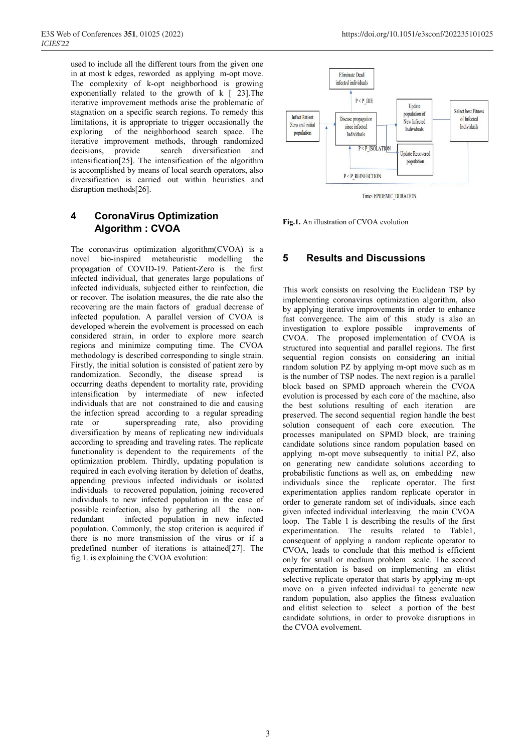used to include all the different tours from the given one in at most k edges, reworded as applying m-opt move. The complexity of k-opt neighborhood is growing exponentially related to the growth of k [ 23].The iterative improvement methods arise the problematic of stagnation on a specific search regions. To remedy this limitations, it is appropriate to trigger occasionally the exploring of the neighborhood search space. The iterative improvement methods, through randomized decisions, provide search diversification and intensification[25]. The intensification of the algorithm is accomplished by means of local search operators, also diversification is carried out within heuristics and disruption methods[26].

### **4 CoronaVirus Optimization Algorithm : CVOA**

The coronavirus optimization algorithm(CVOA) is a novel bio-inspired metaheuristic modelling the propagation of COVID-19. Patient-Zero is the first infected individual, that generates large populations of infected individuals, subjected either to reinfection, die or recover. The isolation measures, the die rate also the recovering are the main factors of gradual decrease of infected population. A parallel version of CVOA is developed wherein the evolvement is processed on each considered strain, in order to explore more search regions and minimize computing time. The CVOA methodology is described corresponding to single strain. Firstly, the initial solution is consisted of patient zero by randomization. Secondly, the disease spread is occurring deaths dependent to mortality rate, providing intensification by intermediate of new infected individuals that are not constrained to die and causing the infection spread according to a regular spreading rate or superspreading rate, also providing diversification by means of replicating new individuals according to spreading and traveling rates. The replicate functionality is dependent to the requirements of the optimization problem. Thirdly, updating population is required in each evolving iteration by deletion of deaths, appending previous infected individuals or isolated individuals to recovered population, joining recovered individuals to new infected population in the case of possible reinfection, also by gathering all the nonredundant infected population in new infected population. Commonly, the stop criterion is acquired if there is no more transmission of the virus or if a predefined number of iterations is attained[27]. The fig.1. is explaining the CVOA evolution:



Time<EPIDEMIC\_DURATION

**Fig.1.** An illustration of CVOA evolution

### **5 Results and Discussions**

This work consists on resolving the Euclidean TSP by implementing coronavirus optimization algorithm, also by applying iterative improvements in order to enhance fast convergence. The aim of this study is also an investigation to explore possible improvements of CVOA. The proposed implementation of CVOA is structured into sequential and parallel regions. The first sequential region consists on considering an initial random solution PZ by applying m-opt move such as m is the number of TSP nodes. The next region is a parallel block based on SPMD approach wherein the CVOA evolution is processed by each core of the machine, also the best solutions resulting of each iteration are preserved. The second sequential region handle the best solution consequent of each core execution. The processes manipulated on SPMD block, are training candidate solutions since random population based on applying m-opt move subsequently to initial PZ, also on generating new candidate solutions according to probabilistic functions as well as, on embedding new individuals since the replicate operator. The first experimentation applies random replicate operator in order to generate random set of individuals, since each given infected individual interleaving the main CVOA loop. The Table 1 is describing the results of the first experimentation. The results related to Table1, consequent of applying a random replicate operator to CVOA, leads to conclude that this method is efficient only for small or medium problem scale. The second experimentation is based on implementing an elitist selective replicate operator that starts by applying m-opt move on a given infected individual to generate new random population, also applies the fitness evaluation and elitist selection to select a portion of the best candidate solutions, in order to provoke disruptions in the CVOA evolvement.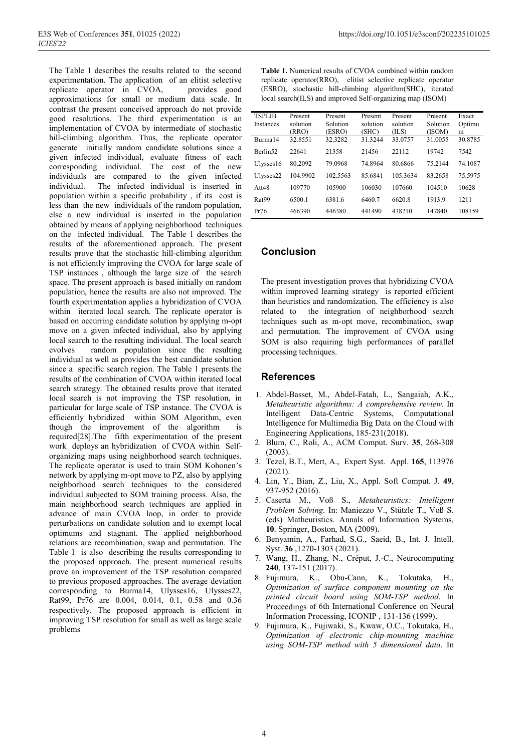The Table 1 describes the results related to the second experimentation. The application of an elitist selective replicate operator in CVOA, provides good approximations for small or medium data scale. In contrast the present conceived approach do not provide good resolutions. The third experimentation is an implementation of CVOA by intermediate of stochastic hill-climbing algorithm. Thus, the replicate operator generate initially random candidate solutions since a given infected individual, evaluate fitness of each corresponding individual. The cost of the new individuals are compared to the given infected individual. The infected individual is inserted in population within a specific probability , if its cost is less than the new individuals of the random population, else a new individual is inserted in the population obtained by means of applying neighborhood techniques on the infected individual. The Table 1 describes the results of the aforementioned approach. The present results prove that the stochastic hill-climbing algorithm is not efficiently improving the CVOA for large scale of TSP instances , although the large size of the search space. The present approach is based initially on random population, hence the results are also not improved. The fourth experimentation applies a hybridization of CVOA within iterated local search. The replicate operator is based on occurring candidate solution by applying m-opt move on a given infected individual, also by applying local search to the resulting individual. The local search evolves random population since the resulting individual as well as provides the best candidate solution since a specific search region. The Table 1 presents the results of the combination of CVOA within iterated local search strategy. The obtained results prove that iterated local search is not improving the TSP resolution, in particular for large scale of TSP instance. The CVOA is efficiently hybridized within SOM Algorithm, even though the improvement of the algorithm is required[28].The fifth experimentation of the present work deploys an hybridization of CVOA within Selforganizing maps using neighborhood search techniques. The replicate operator is used to train SOM Kohonen's network by applying m-opt move to PZ, also by applying neighborhood search techniques to the considered individual subjected to SOM training process. Also, the main neighborhood search techniques are applied in advance of main CVOA loop, in order to provide perturbations on candidate solution and to exempt local optimums and stagnant. The applied neighborhood relations are recombination, swap and permutation. The Table 1 is also describing the results corresponding to the proposed approach. The present numerical results prove an improvement of the TSP resolution compared to previous proposed approaches. The average deviation corresponding to Burma14, Ulysses16, Ulysses22, Rat99, Pr76 are 0.004, 0.014, 0.1, 0.58 and 0.36 respectively. The proposed approach is efficient in improving TSP resolution for small as well as large scale problems

| local search(ILS) and improved Self-organizing map (ISOM) |                              |                               |                              |                              |                               |                      |
|-----------------------------------------------------------|------------------------------|-------------------------------|------------------------------|------------------------------|-------------------------------|----------------------|
| <b>TSPLIB</b><br><b>Instances</b>                         | Present<br>solution<br>(RRO) | Present<br>Solution<br>(ESRO) | Present<br>solution<br>(SHC) | Present<br>solution<br>(ILS) | Present<br>Solution<br>(ISOM) | Exact<br>Optimu<br>m |
| Burma14                                                   | 32.8551                      | 32.3282                       | 31.3244                      | 33.0757                      | 31.0055                       | 30.8785              |
| Berlin <sub>52</sub>                                      | 22641                        | 21358                         | 21456                        | 22112                        | 19742                         | 7542                 |
| Ulysses16                                                 | 80.2092                      | 79.0968                       | 74.8964                      | 80.6866                      | 75.2144                       | 74.1087              |
| Ulysses22                                                 | 104.9902                     | 102.5563                      | 85.6841                      | 105.3634                     | 83.2658                       | 75.5975              |
| Att48                                                     | 109770                       | 105900                        | 106030                       | 107660                       | 104510                        | 10628                |
| Rat <sub>99</sub>                                         | 6500.1                       | 6381.6                        | 6460.7                       | 6620.8                       | 1913.9                        | 1211                 |
| Pr76                                                      | 466390                       | 446380                        | 441490                       | 438210                       | 147840                        | 108159               |

**Table 1.** Numerical results of CVOA combined within random replicate operator(RRO), elitist selective replicate operator (ESRO), stochastic hill-climbing algorithm(SHC), iterated

#### **Conclusion**

The present investigation proves that hybridizing CVOA within improved learning strategy is reported efficient than heuristics and randomization. The efficiency is also related to the integration of neighborhood search techniques such as m-opt move, recombination, swap and permutation. The improvement of CVOA using SOM is also requiring high performances of parallel processing techniques.

#### **References**

- 1. Abdel-Basset, M., Abdel-Fatah, L., Sangaiah, A.K., *Metaheuristic algorithms: A comprehensive review.* In Intelligent Data-Centric Systems, Computational Intelligence for Multimedia Big Data on the Cloud with Engineering Applications, 185-231(2018).
- 2. Blum, C., Roli, A., ACM Comput. Surv. **35**, 268-308 (2003).
- 3. Tezel, B.T., Mert, A., Expert Syst. Appl. **165**, 113976 (2021).
- 4. Lin, Y., Bian, Z., Liu, X., Appl. Soft Comput. J. **49**, 937-952 (2016).
- 5. Caserta M., Voß S., *Metaheuristics: Intelligent Problem Solving*. In: Maniezzo V., Stützle T., Voß S. (eds) Matheuristics. Annals of Information Systems, **10**. Springer, Boston, MA (2009).
- 6. Benyamin, A., Farhad, S.G., Saeid, B., Int. J. Intell. Syst. **36** ,1270-1303 (2021).
- 7. Wang, H., Zhang, N., Créput, J.-C., Neurocomputing **240**, 137-151 (2017).
- 8. Fujimura, K., Obu-Cann, K., Tokutaka, *Optimization of surface component mounting on the printed circuit board using SOM-TSP method*. In Proceedings of 6th International Conference on Neural Information Processing, ICONIP , 131-136 (1999).
- 9. Fujimura, K., Fujiwaki, S., Kwaw, O.C., Tokutaka, H., *Optimization of electronic chip-mounting machine using SOM-TSP method with 5 dimensional data*. In